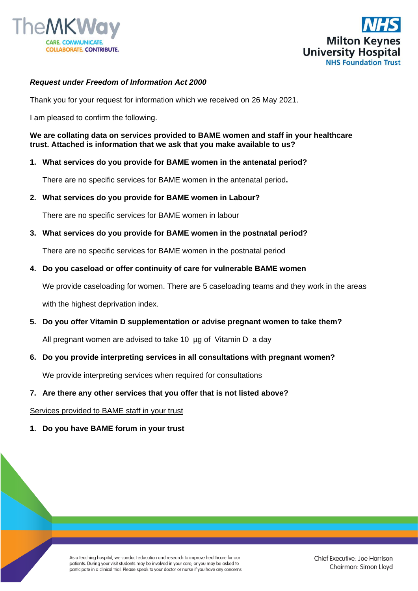



## *Request under Freedom of Information Act 2000*

Thank you for your request for information which we received on 26 May 2021.

I am pleased to confirm the following.

**We are collating data on services provided to BAME women and staff in your healthcare trust. Attached is information that we ask that you make available to us?**

### **1. What services do you provide for BAME women in the antenatal period?**

There are no specific services for BAME women in the antenatal period**.** 

**2. What services do you provide for BAME women in Labour?**

There are no specific services for BAME women in labour

**3. What services do you provide for BAME women in the postnatal period?**

There are no specific services for BAME women in the postnatal period

**4. Do you caseload or offer continuity of care for vulnerable BAME women**

We provide caseloading for women. There are 5 caseloading teams and they work in the areas with the highest deprivation index.

**5. Do you offer Vitamin D supplementation or advise pregnant women to take them?**

All pregnant women are advised to take 10 µg of Vitamin D a day

**6. Do you provide interpreting services in all consultations with pregnant women?**

We provide interpreting services when required for consultations

### **7. Are there any other services that you offer that is not listed above?**

#### Services provided to BAME staff in your trust

**1. Do you have BAME forum in your trust**

As a teaching hospital, we conduct education and research to improve healthcare for our patients. During your visit students may be involved in your care, or you may be asked to participate in a clinical trial. Please speak to your doctor or nurse if you have any concerns.